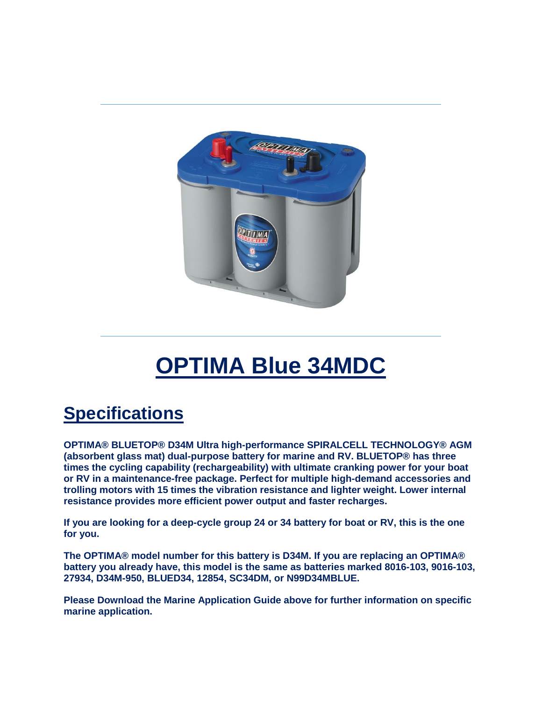

# **OPTIMA Blue 34MDC**

## **Specifications**

**OPTIMA® BLUETOP® D34M Ultra high-performance SPIRALCELL TECHNOLOGY® AGM (absorbent glass mat) dual-purpose battery for marine and RV. BLUETOP® has three times the cycling capability (rechargeability) with ultimate cranking power for your boat or RV in a maintenance-free package. Perfect for multiple high-demand accessories and trolling motors with 15 times the vibration resistance and lighter weight. Lower internal resistance provides more efficient power output and faster recharges.**

**If you are looking for a deep-cycle group 24 or 34 battery for boat or RV, this is the one for you.**

**The OPTIMA® model number for this battery is D34M. If you are replacing an OPTIMA® battery you already have, this model is the same as batteries marked 8016-103, 9016-103, 27934, D34M-950, BLUED34, 12854, SC34DM, or N99D34MBLUE.**

**Please Download the Marine Application Guide above for further information on specific marine application.**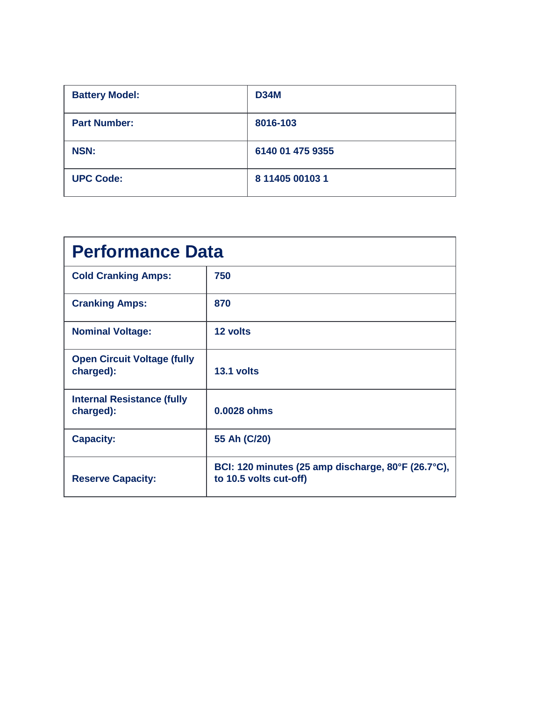| <b>Battery Model:</b> | <b>D34M</b>      |
|-----------------------|------------------|
| <b>Part Number:</b>   | 8016-103         |
| <b>NSN:</b>           | 6140 01 475 9355 |
| <b>UPC Code:</b>      | 8 11405 00103 1  |

| <b>Performance Data</b>                         |                                                                              |  |
|-------------------------------------------------|------------------------------------------------------------------------------|--|
| <b>Cold Cranking Amps:</b>                      | 750                                                                          |  |
| <b>Cranking Amps:</b>                           | 870                                                                          |  |
| <b>Nominal Voltage:</b>                         | 12 volts                                                                     |  |
| <b>Open Circuit Voltage (fully</b><br>charged): | 13.1 volts                                                                   |  |
| <b>Internal Resistance (fully</b><br>charged):  | 0.0028 ohms                                                                  |  |
| <b>Capacity:</b>                                | 55 Ah (C/20)                                                                 |  |
| <b>Reserve Capacity:</b>                        | BCI: 120 minutes (25 amp discharge, 80°F (26.7°C),<br>to 10.5 volts cut-off) |  |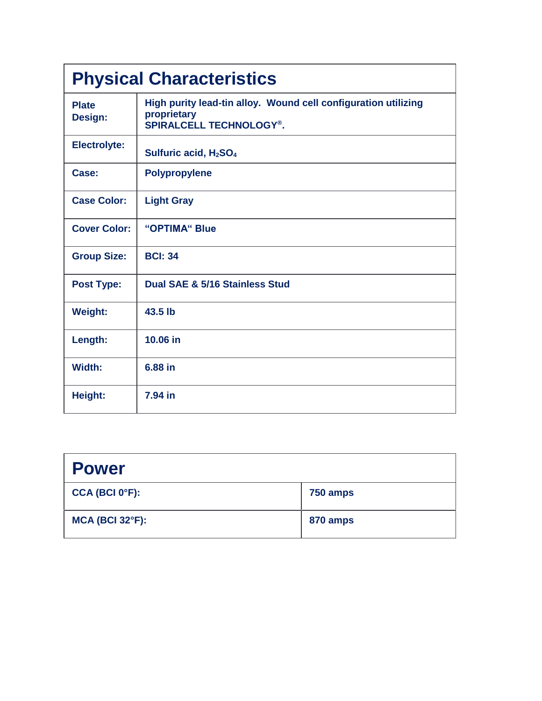| <b>Physical Characteristics</b> |                                                                                                                 |  |
|---------------------------------|-----------------------------------------------------------------------------------------------------------------|--|
| <b>Plate</b><br>Design:         | High purity lead-tin alloy. Wound cell configuration utilizing<br>proprietary<br><b>SPIRALCELL TECHNOLOGY®.</b> |  |
| <b>Electrolyte:</b>             | Sulfuric acid, H <sub>2</sub> SO <sub>4</sub>                                                                   |  |
| Case:                           | <b>Polypropylene</b>                                                                                            |  |
| <b>Case Color:</b>              | <b>Light Gray</b>                                                                                               |  |
| <b>Cover Color:</b>             | "OPTIMA" Blue                                                                                                   |  |
| <b>Group Size:</b>              | <b>BCI: 34</b>                                                                                                  |  |
| <b>Post Type:</b>               | Dual SAE & 5/16 Stainless Stud                                                                                  |  |
| <b>Weight:</b>                  | 43.5 lb                                                                                                         |  |
| Length:                         | 10.06 in                                                                                                        |  |
| Width:                          | 6.88 in                                                                                                         |  |
| Height:                         | 7.94 in                                                                                                         |  |

| <b>Power</b>                |          |
|-----------------------------|----------|
| CCA (BCI 0 <sup>o</sup> F): | 750 amps |
| $MCA$ (BCI 32 $\degree$ F): | 870 amps |